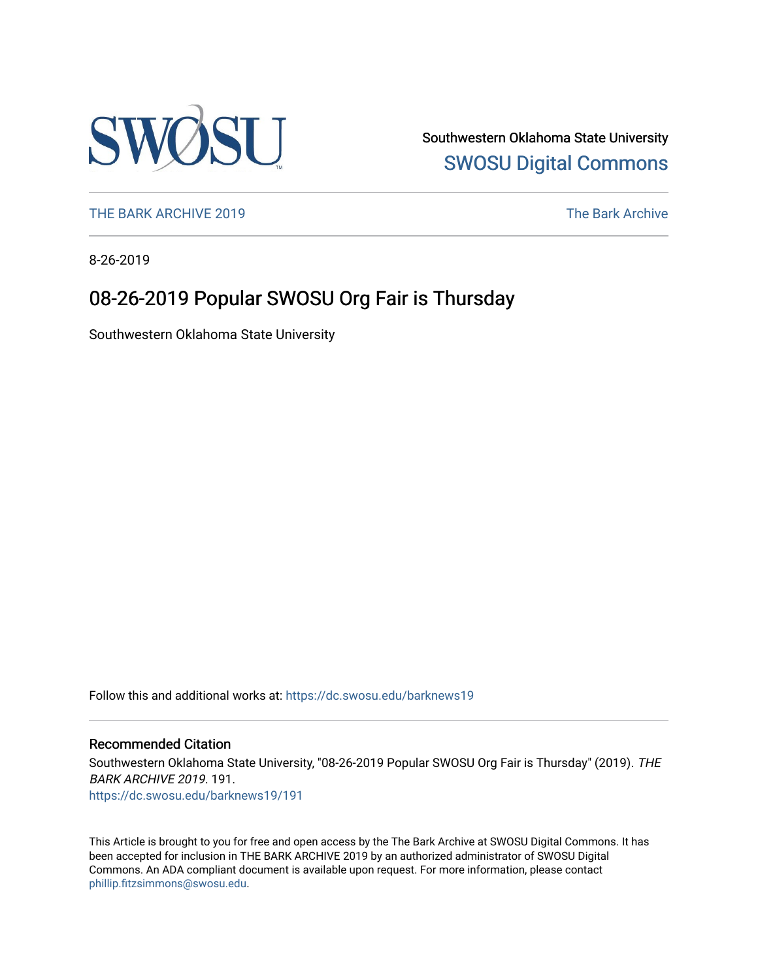

Southwestern Oklahoma State University [SWOSU Digital Commons](https://dc.swosu.edu/) 

[THE BARK ARCHIVE 2019](https://dc.swosu.edu/barknews19) The Bark Archive

8-26-2019

## 08-26-2019 Popular SWOSU Org Fair is Thursday

Southwestern Oklahoma State University

Follow this and additional works at: [https://dc.swosu.edu/barknews19](https://dc.swosu.edu/barknews19?utm_source=dc.swosu.edu%2Fbarknews19%2F191&utm_medium=PDF&utm_campaign=PDFCoverPages)

#### Recommended Citation

Southwestern Oklahoma State University, "08-26-2019 Popular SWOSU Org Fair is Thursday" (2019). THE BARK ARCHIVE 2019. 191. [https://dc.swosu.edu/barknews19/191](https://dc.swosu.edu/barknews19/191?utm_source=dc.swosu.edu%2Fbarknews19%2F191&utm_medium=PDF&utm_campaign=PDFCoverPages)

This Article is brought to you for free and open access by the The Bark Archive at SWOSU Digital Commons. It has been accepted for inclusion in THE BARK ARCHIVE 2019 by an authorized administrator of SWOSU Digital Commons. An ADA compliant document is available upon request. For more information, please contact [phillip.fitzsimmons@swosu.edu](mailto:phillip.fitzsimmons@swosu.edu).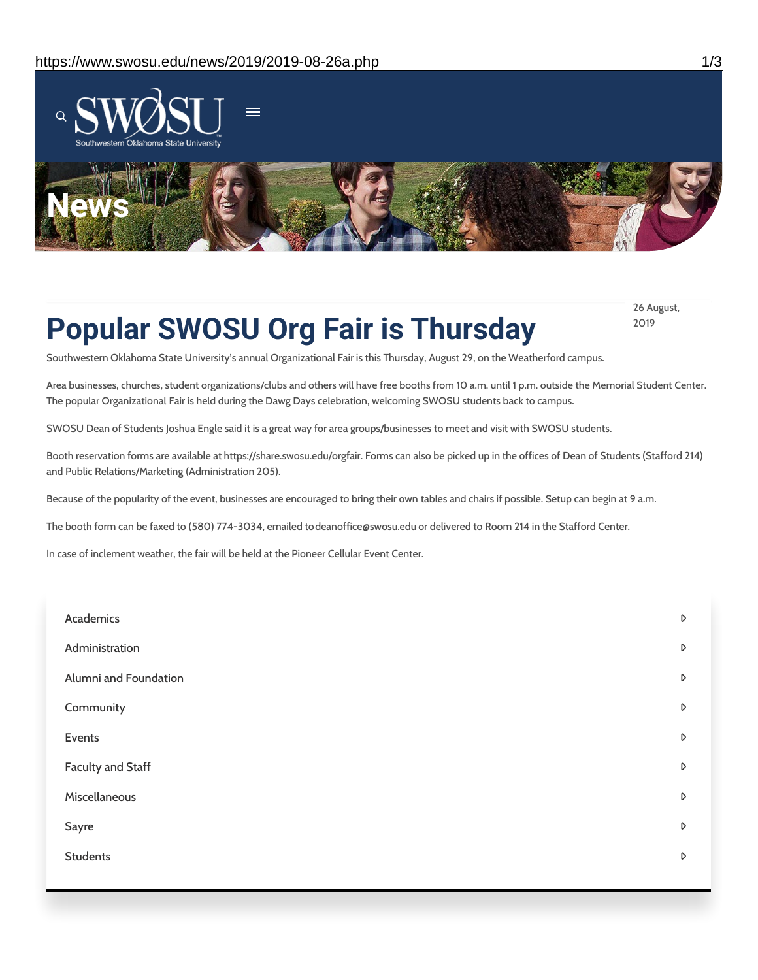

# **Popular SWOSU Org Fair is Thursday**

26 August, 2019

Southwestern Oklahoma State University's annual Organizational Fair is this Thursday, August 29, on the Weatherford campus.

Area businesses, churches, student organizations/clubs and others will have free booths from 10 a.m. until 1 p.m. outside the Memorial Student Center. The popular Organizational Fair is held during the Dawg Days celebration, welcoming SWOSU students back to campus.

SWOSU Dean of Students Joshua Engle said it is a great way for area groups/businesses to meet and visit with SWOSU students.

Booth reservation forms are available at https://share.swosu.edu/orgfair. Forms can also be picked up in the offices of Dean of Students (Stafford 214) and Public Relations/Marketing (Administration 205).

Because of the popularity of the event, businesses are encouraged to bring their own tables and chairs if possible. Setup can begin at 9 a.m.

The booth form can be faxed to (580) 774-3034, emailed todeanoffice@swosu.edu or delivered to Room 214 in the Stafford Center.

In case of inclement weather, the fair will be held at the Pioneer Cellular Event Center.

| Academics             | D                |
|-----------------------|------------------|
| Administration        | D                |
| Alumni and Foundation | D                |
| Community             | D                |
| Events                | $\triangleright$ |
| Faculty and Staff     | $\triangleright$ |
| Miscellaneous         | $\triangleright$ |
| Sayre                 | D                |
| <b>Students</b>       | D                |
|                       |                  |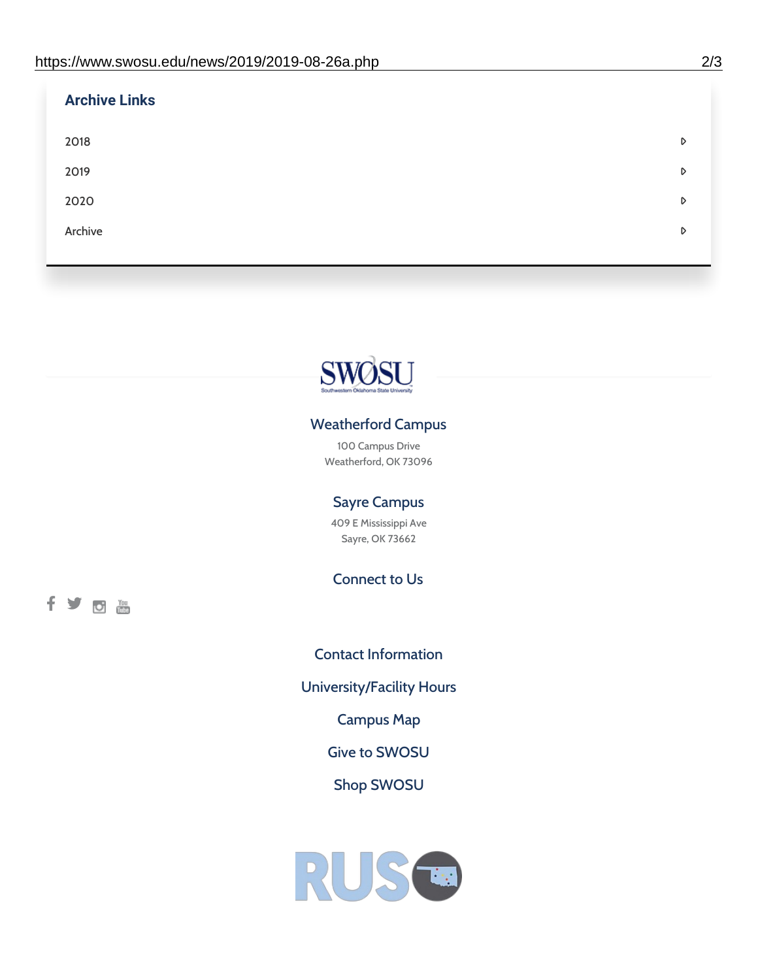| <b>Archive Links</b> |   |
|----------------------|---|
| 2018                 | D |
| 2019                 | D |
| 2020                 | D |
| Archive              | D |
|                      |   |



### Weatherford Campus

100 Campus Drive Weatherford, OK 73096

### Sayre Campus

409 E Mississippi Ave Sayre, OK 73662

Connect to Us

fyom

Contact [Information](https://www.swosu.edu/about/contact.php) [University/Facility](https://www.swosu.edu/about/operating-hours.php) Hours [Campus](https://map.concept3d.com/?id=768#!ct/10964,10214,10213,10212,10205,10204,10203,10202,10136,10129,10128,0,31226,10130,10201,10641,0) Map Give to [SWOSU](https://standingfirmly.com/donate) Shop [SWOSU](https://shopswosu.merchorders.com/)